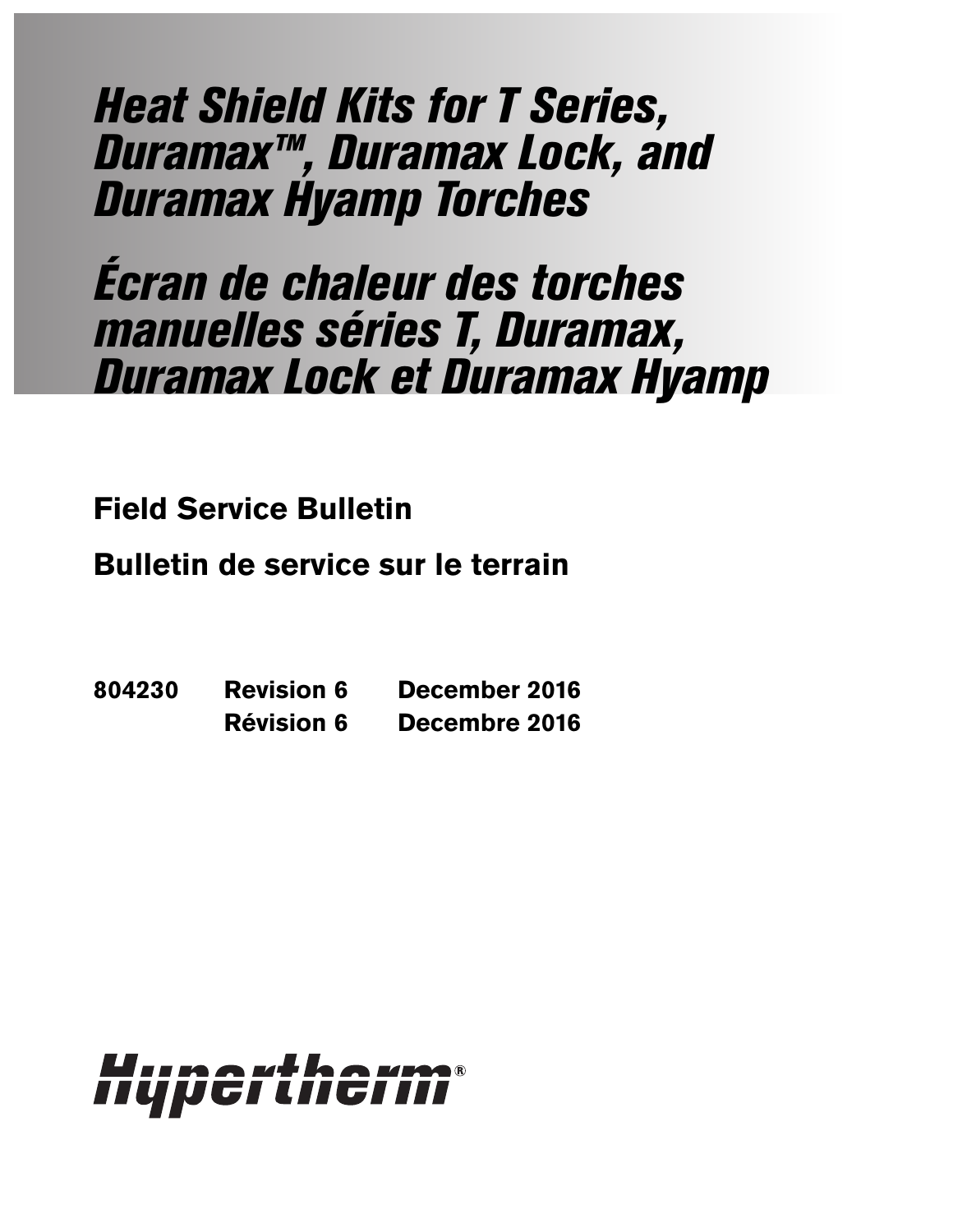Heat Shield Kits for T Series, Duramax™, Duramax Lock, and Duramax Hyamp Torches

Écran de chaleur des torches manuelles séries T, Duramax, Duramax Lock et Duramax Hyamp

**Field Service Bulletin**

**Bulletin de service sur le terrain**

**804230 Revision 6 December 2016 Révision 6 Decembre 2016**

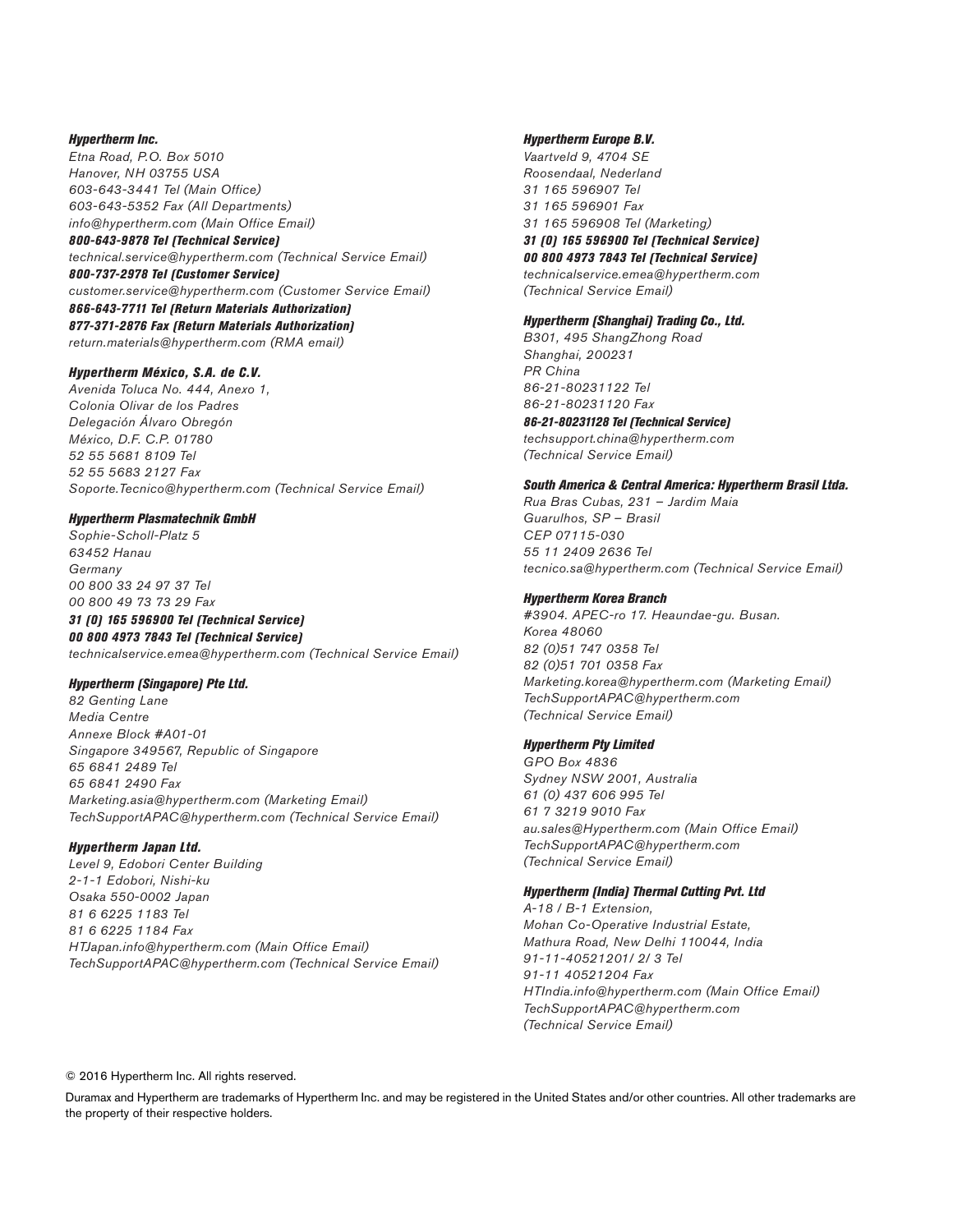#### Hypertherm Inc.

Etna Road, P.O. Box 5010 Hanover, NH 03755 USA 603-643-3441 Tel (Main Office) 603-643-5352 Fax (All Departments) info@hypertherm.com (Main Office Email)

#### 800-643-9878 Tel (Technical Service) technical.service@hypertherm.com (Technical Service Email)

800-737-2978 Tel (Customer Service) customer.service@hypertherm.com (Customer Service Email) 866-643-7711 Tel (Return Materials Authorization) 877-371-2876 Fax (Return Materials Authorization) return.materials@hypertherm.com (RMA email)

### Hypertherm México, S.A. de C.V.

Avenida Toluca No. 444, Anexo 1, Colonia Olivar de los Padres Delegación Álvaro Obregón México, D.F. C.P. 01780 52 55 5681 8109 Tel 52 55 5683 2127 Fax Soporte.Tecnico@hypertherm.com (Technical Service Email)

### Hypertherm Plasmatechnik GmbH

Sophie-Scholl-Platz 5 63452 Hanau Germany 00 800 33 24 97 37 Tel 00 800 49 73 73 29 Fax 31 (0) 165 596900 Tel (Technical Service) 00 800 4973 7843 Tel (Technical Service)

technicalservice.emea@hypertherm.com (Technical Service Email)

### Hypertherm (Singapore) Pte Ltd.

82 Genting Lane Media Centre Annexe Block #A01-01 Singapore 349567, Republic of Singapore 65 6841 2489 Tel 65 6841 2490 Fax Marketing.asia@hypertherm.com (Marketing Email) TechSupportAPAC@hypertherm.com (Technical Service Email)

### Hypertherm Japan Ltd.

Level 9, Edobori Center Building 2-1-1 Edobori, Nishi-ku Osaka 550-0002 Japan 81 6 6225 1183 Tel 81 6 6225 1184 Fax HTJapan.info@hypertherm.com (Main Office Email) TechSupportAPAC@hypertherm.com (Technical Service Email)

### Hypertherm Europe B.V.

Vaartveld 9, 4704 SE Roosendaal, Nederland 31 165 596907 Tel 31 165 596901 Fax 31 165 596908 Tel (Marketing) 31 (0) 165 596900 Tel (Technical Service) 00 800 4973 7843 Tel (Technical Service)

technicalservice.emea@hypertherm.com (Technical Service Email)

#### Hypertherm (Shanghai) Trading Co., Ltd.

B301, 495 ShangZhong Road Shanghai, 200231 PR China 86-21-80231122 Tel 86-21-80231120 Fax 86-21-80231128 Tel (Technical Service) techsupport.china@hypertherm.com

# South America & Central America: Hypertherm Brasil Ltda.

Rua Bras Cubas, 231 – Jardim Maia Guarulhos, SP – Brasil CEP 07115-030 55 11 2409 2636 Tel tecnico.sa@hypertherm.com (Technical Service Email)

### Hypertherm Korea Branch

(Technical Service Email)

#3904. APEC-ro 17. Heaundae-gu. Busan. Korea 48060 82 (0)51 747 0358 Tel 82 (0)51 701 0358 Fax Marketing.korea@hypertherm.com (Marketing Email) TechSupportAPAC@hypertherm.com (Technical Service Email)

### Hypertherm Pty Limited

GPO Box 4836 Sydney NSW 2001, Australia 61 (0) 437 606 995 Tel 61 7 3219 9010 Fax au.sales@Hypertherm.com (Main Office Email) TechSupportAPAC@hypertherm.com (Technical Service Email)

#### Hypertherm (India) Thermal Cutting Pvt. Ltd

A-18 / B-1 Extension, Mohan Co-Operative Industrial Estate, Mathura Road, New Delhi 110044, India 91-11-40521201/ 2/ 3 Tel 91-11 40521204 Fax HTIndia.info@hypertherm.com (Main Office Email) TechSupportAPAC@hypertherm.com (Technical Service Email)

© 2016 Hypertherm Inc. All rights reserved.

Duramax and Hypertherm are trademarks of Hypertherm Inc. and may be registered in the United States and/or other countries. All other trademarks are the property of their respective holders.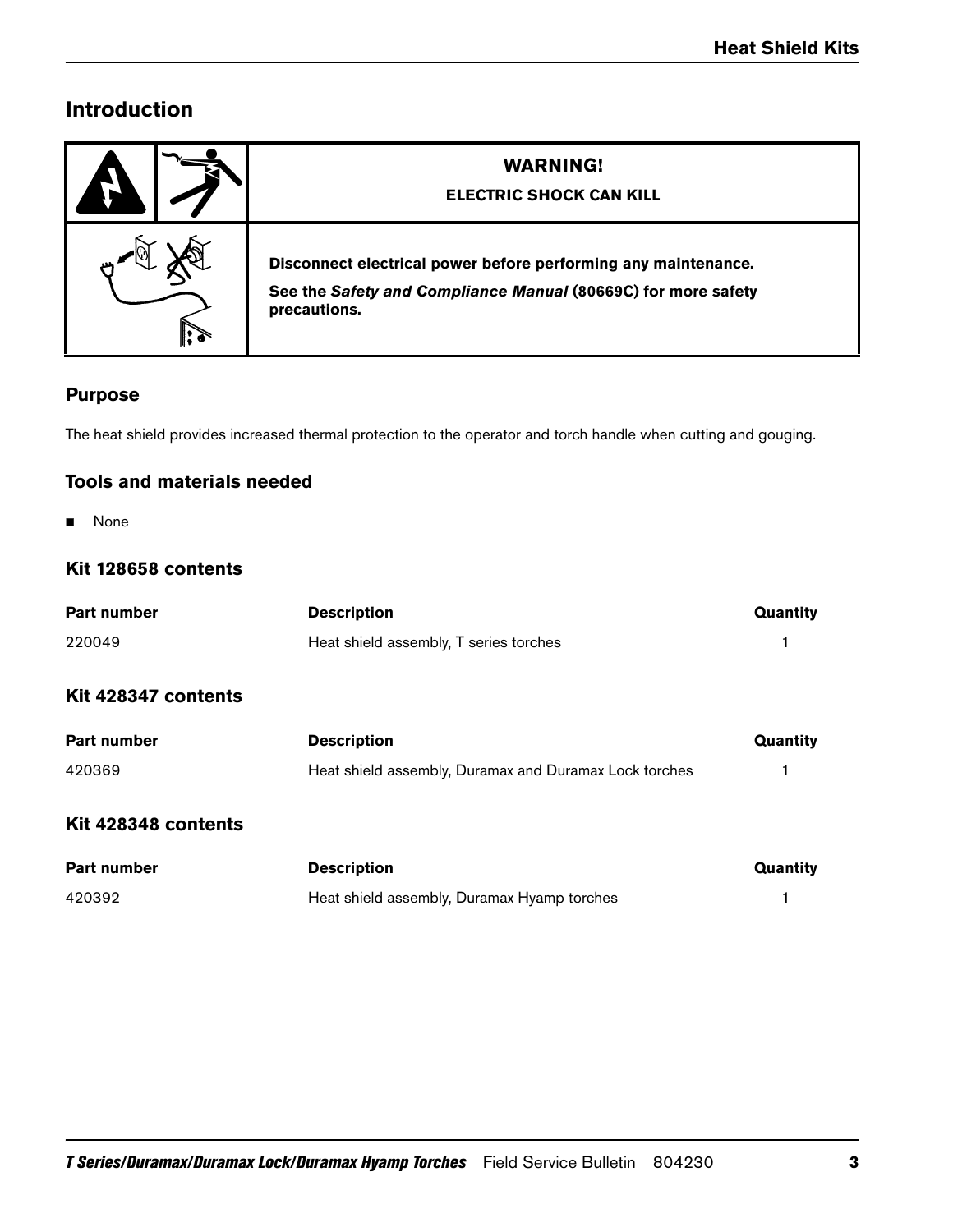# **Introduction**

| <b>WARNING!</b><br><b>ELECTRIC SHOCK CAN KILL</b>                                                                                               |
|-------------------------------------------------------------------------------------------------------------------------------------------------|
| Disconnect electrical power before performing any maintenance.<br>See the Safety and Compliance Manual (80669C) for more safety<br>precautions. |

### **Purpose**

The heat shield provides increased thermal protection to the operator and torch handle when cutting and gouging.

### **Tools and materials needed**

**None** 

### **Kit 128658 contents**

| <b>Part number</b>  | <b>Description</b>                                     | Quantity |
|---------------------|--------------------------------------------------------|----------|
| 220049              | Heat shield assembly, T series torches                 |          |
| Kit 428347 contents |                                                        |          |
| <b>Part number</b>  | <b>Description</b>                                     | Quantity |
| 420369              | Heat shield assembly, Duramax and Duramax Lock torches |          |
| Kit 428348 contents |                                                        |          |
| <b>Part number</b>  | <b>Description</b>                                     | Quantity |
| 420392              | Heat shield assembly, Duramax Hyamp torches            |          |
|                     |                                                        |          |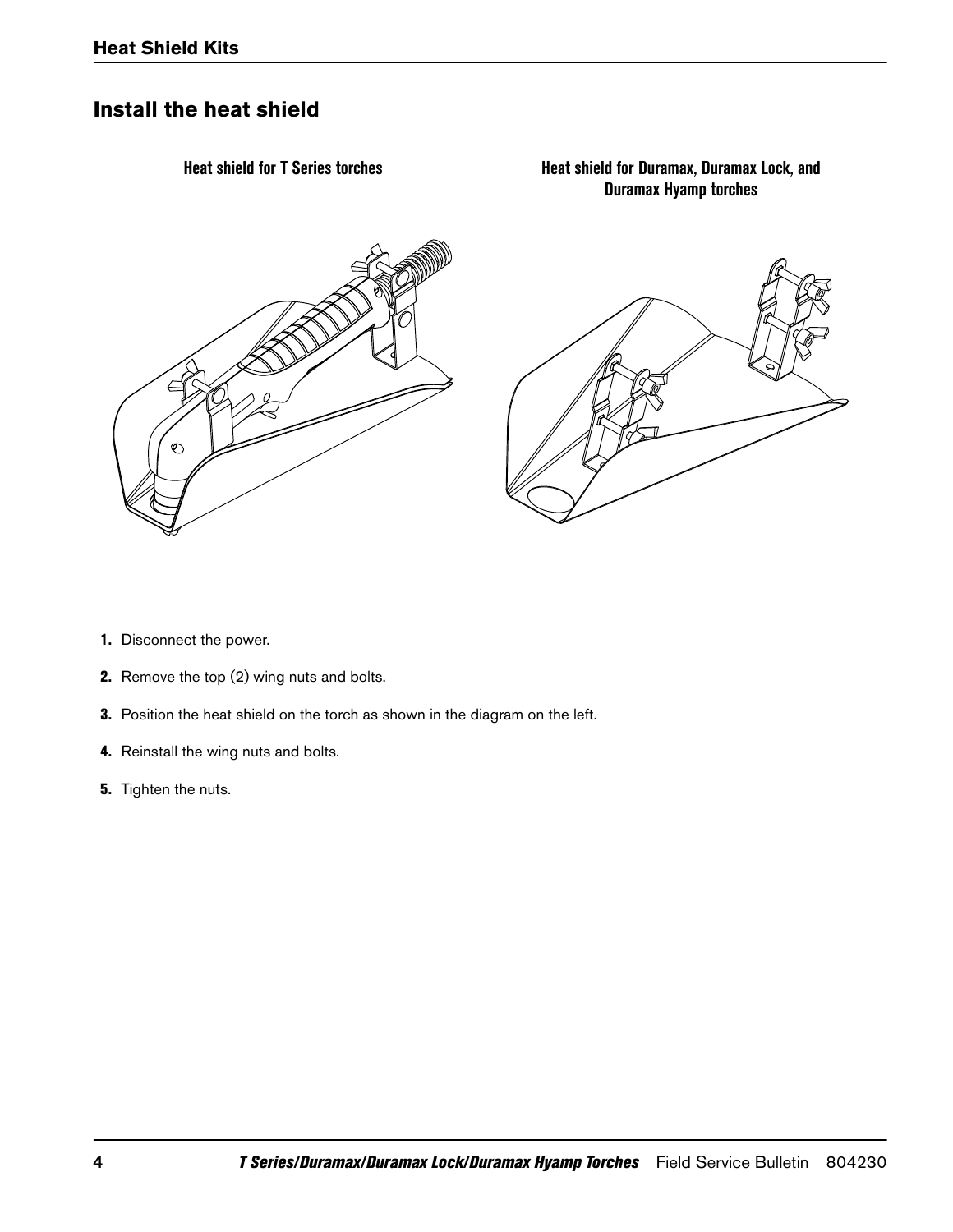# **Install the heat shield**



- 1. Disconnect the power.
- 2. Remove the top (2) wing nuts and bolts.
- 3. Position the heat shield on the torch as shown in the diagram on the left.
- 4. Reinstall the wing nuts and bolts.
- 5. Tighten the nuts.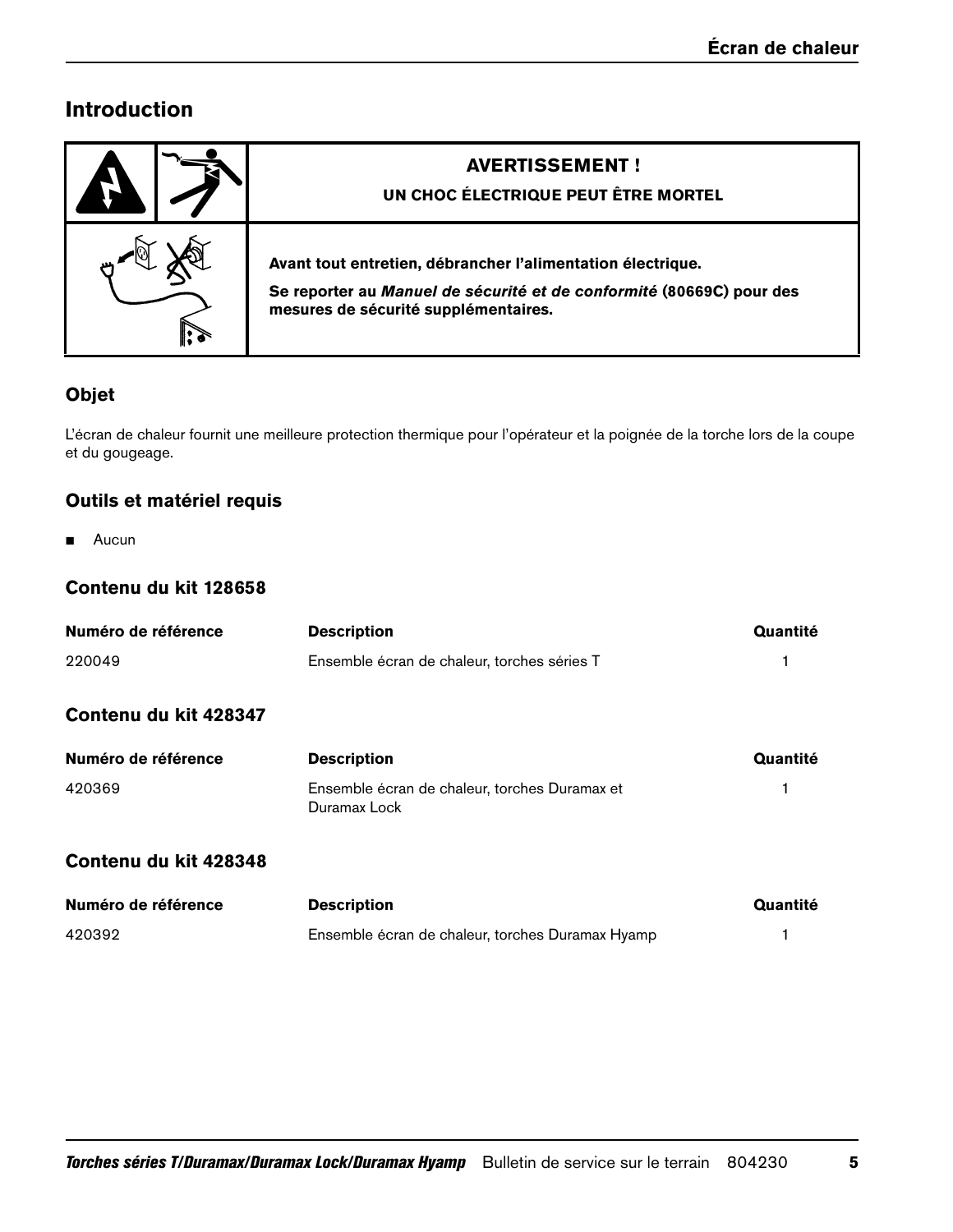# **Introduction**

| <b>AVERTISSEMENT!</b><br>UN CHOC ÉLECTRIQUE PEUT ÊTRE MORTEL                                                                                                                |
|-----------------------------------------------------------------------------------------------------------------------------------------------------------------------------|
| Avant tout entretien, débrancher l'alimentation électrique.<br>Se reporter au Manuel de sécurité et de conformité (80669C) pour des<br>mesures de sécurité supplémentaires. |

## **Objet**

L'écran de chaleur fournit une meilleure protection thermique pour l'opérateur et la poignée de la torche lors de la coupe et du gougeage.

## **Outils et matériel requis**

**Aucun** 

### **Contenu du kit 128658**

| Numéro de référence   | <b>Description</b>                                            | Quantité |
|-----------------------|---------------------------------------------------------------|----------|
| 220049                | Ensemble écran de chaleur, torches séries T                   |          |
| Contenu du kit 428347 |                                                               |          |
| Numéro de référence   | <b>Description</b>                                            | Quantité |
| 420369                | Ensemble écran de chaleur, torches Duramax et<br>Duramax Lock |          |
| 0.11111100010         |                                                               |          |

### **Contenu du kit 428348**

| Numéro de référence | <b>Description</b>                               | Quantité |
|---------------------|--------------------------------------------------|----------|
| 420392              | Ensemble écran de chaleur, torches Duramax Hyamp |          |